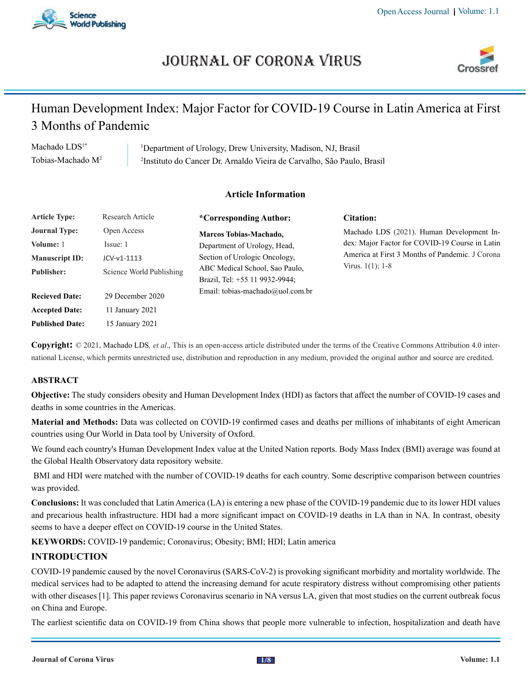

# Journal of Corona Virus



## Human Development Index: Major Factor for COVID-19 Course in Latin America at First 3 Months of Pandemic

Machado LDS<sup>1\*</sup> Tobias-Machado M2 1 Department of Urology, Drew University, Madison, NJ, Brasil 2 Instituto do Cancer Dr. Arnaldo Vieira de Carvalho, São Paulo, Brasil

## **Article Information**

| <b>Article Type:</b>                                       | Research Article                       | <i>*Corresponding Author:</i>                                                                                                                                                                   | Citation:                                                                                                                                                             |
|------------------------------------------------------------|----------------------------------------|-------------------------------------------------------------------------------------------------------------------------------------------------------------------------------------------------|-----------------------------------------------------------------------------------------------------------------------------------------------------------------------|
| <b>Journal Type:</b><br>Volume: 1<br><b>Manuscript ID:</b> | Open Access<br>Issue: 1<br>JCV-v1-1113 | Marcos Tobias-Machado,<br>Department of Urology, Head,<br>Section of Urologic Oncology,<br>ABC Medical School, Sao Paulo,<br>Brazil, Tel: +55 11 9932-9944;<br>Email: tobias-machado@uol.com.br | Machado LDS (2021). Human Development In-<br>dex: Major Factor for COVID-19 Course in Latin<br>America at First 3 Months of Pandemic. J Corona<br>Virus. $1(1)$ ; 1-8 |
| <b>Publisher:</b>                                          | Science World Publishing               |                                                                                                                                                                                                 |                                                                                                                                                                       |
| <b>Recieved Date:</b>                                      | 29 December 2020                       |                                                                                                                                                                                                 |                                                                                                                                                                       |
| <b>Accepted Date:</b>                                      | 11 January 2021                        |                                                                                                                                                                                                 |                                                                                                                                                                       |
| <b>Published Date:</b>                                     | 15 January 2021                        |                                                                                                                                                                                                 |                                                                                                                                                                       |

**Copyright:** © 2021, Machado LDS*, et al*., This is an open-access article distributed under the terms of the Creative Commons Attribution 4.0 international License, which permits unrestricted use, distribution and reproduction in any medium, provided the original author and source are credited.

### **ABSTRACT**

**Objective:** The study considers obesity and Human Development Index (HDI) as factors that affect the number of COVID-19 cases and deaths in some countries in the Americas.

**Material and Methods:** Data was collected on COVID-19 confirmed cases and deaths per millions of inhabitants of eight American countries using Our World in Data tool by University of Oxford.

We found each country's Human Development Index value at the United Nation reports. Body Mass Index (BMI) average was found at the Global Health Observatory data repository website.

 BMI and HDI were matched with the number of COVID-19 deaths for each country. Some descriptive comparison between countries was provided.

**Conclusions:** It was concluded that Latin America (LA) is entering a new phase of the COVID-19 pandemic due to its lower HDI values and precarious health infrastructure. HDI had a more significant impact on COVID-19 deaths in LA than in NA. In contrast, obesity seems to have a deeper effect on COVID-19 course in the United States.

**KEYWORDS:** COVID-19 pandemic; Coronavirus; Obesity; BMI; HDI; Latin america

## **INTRODUCTION**

COVID-19 pandemic caused by the novel Coronavirus (SARS-CoV-2) is provoking significant morbidity and mortality worldwide. The medical services had to be adapted to attend the increasing demand for acute respiratory distress without compromising other patients with other diseases [1]. This paper reviews Coronavirus scenario in NA versus LA, given that most studies on the current outbreak focus on China and Europe.

The earliest scientific data on COVID-19 from China shows that people more vulnerable to infection, hospitalization and death have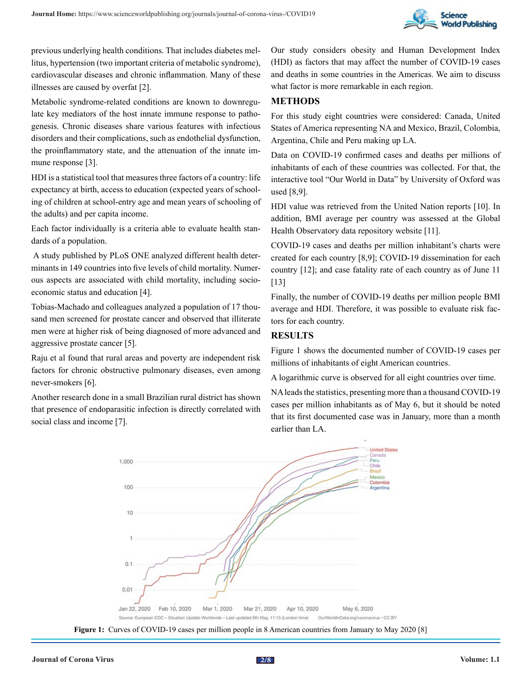

previous underlying health conditions. That includes diabetes mellitus, hypertension (two important criteria of metabolic syndrome), cardiovascular diseases and chronic inflammation. Many of these illnesses are caused by overfat [2].

Metabolic syndrome-related conditions are known to downregulate key mediators of the host innate immune response to pathogenesis. Chronic diseases share various features with infectious disorders and their complications, such as endothelial dysfunction, the proinflammatory state, and the attenuation of the innate immune response [3].

HDI is a statistical tool that measures three factors of a country: life expectancy at birth, access to education (expected years of schooling of children at school-entry age and mean years of schooling of the adults) and per capita income.

Each factor individually is a criteria able to evaluate health standards of a population.

 A study published by PLoS ONE analyzed different health determinants in 149 countries into five levels of child mortality. Numerous aspects are associated with child mortality, including socioeconomic status and education [4].

Tobias-Machado and colleagues analyzed a population of 17 thousand men screened for prostate cancer and observed that illiterate men were at higher risk of being diagnosed of more advanced and aggressive prostate cancer [5].

Raju et al found that rural areas and poverty are independent risk factors for chronic obstructive pulmonary diseases, even among never-smokers [6].

Another research done in a small Brazilian rural district has shown that presence of endoparasitic infection is directly correlated with social class and income [7].

Our study considers obesity and Human Development Index (HDI) as factors that may affect the number of COVID-19 cases and deaths in some countries in the Americas. We aim to discuss what factor is more remarkable in each region.

#### **METHODS**

For this study eight countries were considered: Canada, United States of America representing NA and Mexico, Brazil, Colombia, Argentina, Chile and Peru making up LA.

Data on COVID-19 confirmed cases and deaths per millions of inhabitants of each of these countries was collected. For that, the interactive tool "Our World in Data" by University of Oxford was used [8,9].

HDI value was retrieved from the United Nation reports [10]. In addition, BMI average per country was assessed at the Global Health Observatory data repository website [11].

COVID-19 cases and deaths per million inhabitant's charts were created for each country [8,9]; COVID-19 dissemination for each country [12]; and case fatality rate of each country as of June 11 [13]

Finally, the number of COVID-19 deaths per million people BMI average and HDI. Therefore, it was possible to evaluate risk factors for each country.

#### **RESULTS**

Figure 1 shows the documented number of COVID-19 cases per millions of inhabitants of eight American countries.

A logarithmic curve is observed for all eight countries over time.

NA leads the statistics, presenting more than a thousand COVID-19 cases per million inhabitants as of May 6, but it should be noted that its first documented case was in January, more than a month earlier than LA.



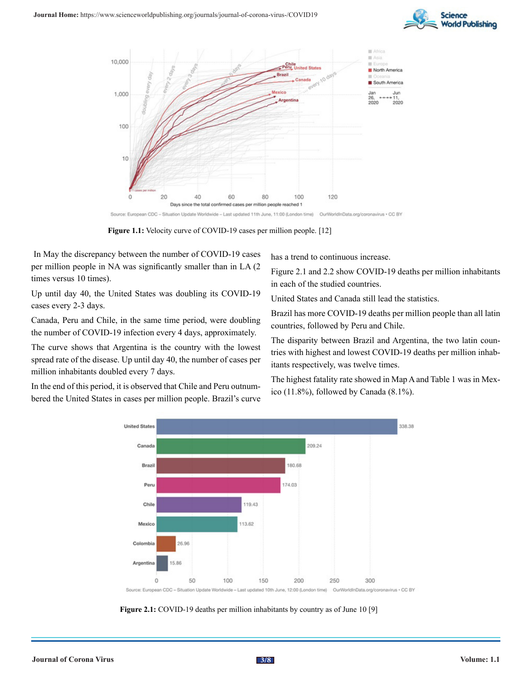



**Figure 1.1:** Velocity curve of COVID-19 cases per million people. [12]

 In May the discrepancy between the number of COVID-19 cases per million people in NA was significantly smaller than in LA (2 times versus 10 times).

Up until day 40, the United States was doubling its COVID-19 cases every 2-3 days.

Canada, Peru and Chile, in the same time period, were doubling the number of COVID-19 infection every 4 days, approximately.

The curve shows that Argentina is the country with the lowest spread rate of the disease. Up until day 40, the number of cases per million inhabitants doubled every 7 days.

In the end of this period, it is observed that Chile and Peru outnumbered the United States in cases per million people. Brazil's curve has a trend to continuous increase.

Figure 2.1 and 2.2 show COVID-19 deaths per million inhabitants in each of the studied countries.

United States and Canada still lead the statistics.

Brazil has more COVID-19 deaths per million people than all latin countries, followed by Peru and Chile.

The disparity between Brazil and Argentina, the two latin countries with highest and lowest COVID-19 deaths per million inhabitants respectively, was twelve times.

The highest fatality rate showed in Map A and Table 1 was in Mexico (11.8%), followed by Canada (8.1%).



**Figure 2.1:** COVID-19 deaths per million inhabitants by country as of June 10 [9]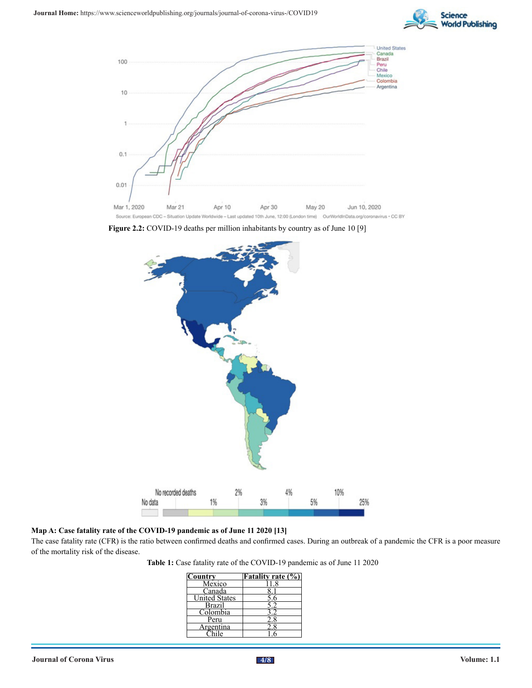



**Figure 2.2:** COVID-19 deaths per million inhabitants by country as of June 10 [9]



**Map A: Case fatality rate of the COVID-19 pandemic as of June 11 2020 [13]**

The case fatality rate (CFR) is the ratio between confirmed deaths and confirmed cases. During an outbreak of a pandemic the CFR is a poor measure of the mortality risk of the disease.

**Table 1:** Case fatality rate of the COVID-19 pandemic as of June 11 2020

| Country              | <b>Fatality rate (%)</b> |
|----------------------|--------------------------|
| Mexico               |                          |
| Canada               |                          |
| <b>United States</b> |                          |
| <b>Brazil</b>        |                          |
| Colombia             |                          |
| Peru                 |                          |
| Argentina            |                          |
|                      |                          |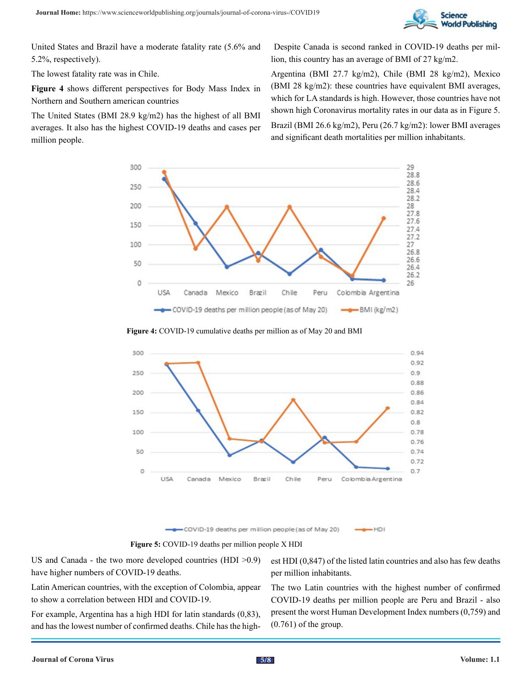

United States and Brazil have a moderate fatality rate (5.6% and 5.2%, respectively).

The lowest fatality rate was in Chile.

**Figure 4** shows different perspectives for Body Mass Index in Northern and Southern american countries

The United States (BMI 28.9 kg/m2) has the highest of all BMI averages. It also has the highest COVID-19 deaths and cases per million people.

 Despite Canada is second ranked in COVID-19 deaths per million, this country has an average of BMI of 27 kg/m2.

Argentina (BMI 27.7 kg/m2), Chile (BMI 28 kg/m2), Mexico (BMI 28 kg/m2): these countries have equivalent BMI averages, which for LA standards is high. However, those countries have not shown high Coronavirus mortality rates in our data as in Figure 5. Brazil (BMI 26.6 kg/m2), Peru (26.7 kg/m2): lower BMI averages and significant death mortalities per million inhabitants.







-COVID-19 deaths per million people (as of May 20) -HDI

**Figure 5:** COVID-19 deaths per million people X HDI

US and Canada - the two more developed countries (HDI >0.9) have higher numbers of COVID-19 deaths.

est HDI (0,847) of the listed latin countries and also has few deaths per million inhabitants.

Latin American countries, with the exception of Colombia, appear to show a correlation between HDI and COVID-19.

For example, Argentina has a high HDI for latin standards (0,83), and has the lowest number of confirmed deaths. Chile has the highThe two Latin countries with the highest number of confirmed COVID-19 deaths per million people are Peru and Brazil - also present the worst Human Development Index numbers (0,759) and (0.761) of the group.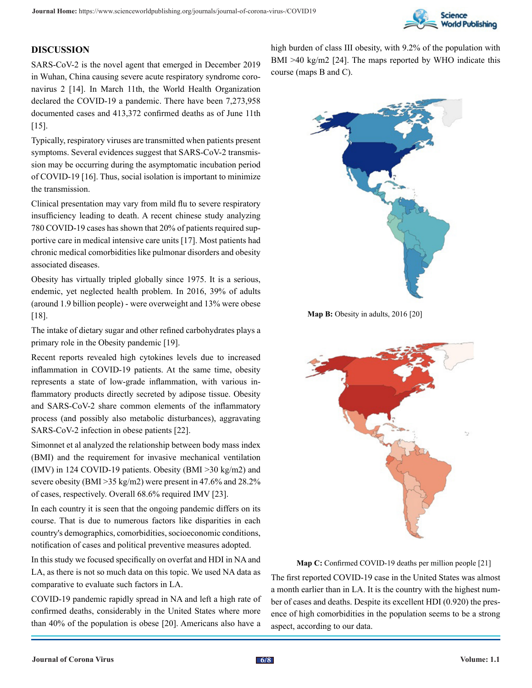

## **DISCUSSION**

SARS-CoV-2 is the novel agent that emerged in December 2019 in Wuhan, China causing severe acute respiratory syndrome coronavirus 2 [14]. In March 11th, the World Health Organization declared the COVID-19 a pandemic. There have been 7,273,958 documented cases and 413,372 confirmed deaths as of June 11th [15].

Typically, respiratory viruses are transmitted when patients present symptoms. Several evidences suggest that SARS-CoV-2 transmission may be occurring during the asymptomatic incubation period of COVID-19 [16]. Thus, social isolation is important to minimize the transmission.

Clinical presentation may vary from mild flu to severe respiratory insufficiency leading to death. A recent chinese study analyzing 780 COVID-19 cases has shown that 20% of patients required supportive care in medical intensive care units [17]. Most patients had chronic medical comorbidities like pulmonar disorders and obesity associated diseases.

Obesity has virtually tripled globally since 1975. It is a serious, endemic, yet neglected health problem. In 2016, 39% of adults (around 1.9 billion people) - were overweight and 13% were obese [18].

The intake of dietary sugar and other refined carbohydrates plays a primary role in the Obesity pandemic [19].

Recent reports revealed high cytokines levels due to increased inflammation in COVID-19 patients. At the same time, obesity represents a state of low-grade inflammation, with various inflammatory products directly secreted by adipose tissue. Obesity and SARS-CoV-2 share common elements of the inflammatory process (and possibly also metabolic disturbances), aggravating SARS-CoV-2 infection in obese patients [22].

Simonnet et al analyzed the relationship between body mass index (BMI) and the requirement for invasive mechanical ventilation (IMV) in 124 COVID-19 patients. Obesity (BMI >30 kg/m2) and severe obesity (BMI >35 kg/m2) were present in 47.6% and 28.2% of cases, respectively. Overall 68.6% required IMV [23].

In each country it is seen that the ongoing pandemic differs on its course. That is due to numerous factors like disparities in each country's demographics, comorbidities, socioeconomic conditions, notification of cases and political preventive measures adopted.

In this study we focused specifically on overfat and HDI in NA and LA, as there is not so much data on this topic. We used NA data as comparative to evaluate such factors in LA.

COVID-19 pandemic rapidly spread in NA and left a high rate of confirmed deaths, considerably in the United States where more than 40% of the population is obese [20]. Americans also have a

high burden of class III obesity, with 9.2% of the population with BMI >40 kg/m2 [24]. The maps reported by WHO indicate this course (maps B and C).



**Map B:** Obesity in adults, 2016 [20]



**Map C:** Confirmed COVID-19 deaths per million people [21]

The first reported COVID-19 case in the United States was almost a month earlier than in LA. It is the country with the highest number of cases and deaths. Despite its excellent HDI (0.920) the presence of high comorbidities in the population seems to be a strong aspect, according to our data.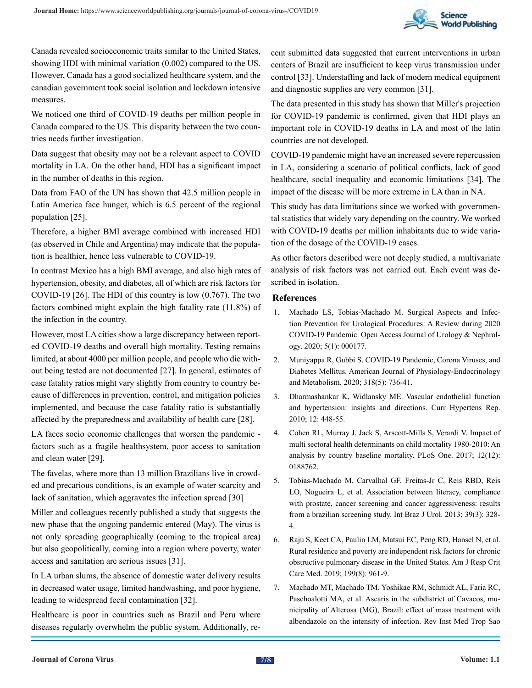

Canada revealed socioeconomic traits similar to the United States, showing HDI with minimal variation (0.002) compared to the US. However, Canada has a good socialized healthcare system, and the canadian government took social isolation and lockdown intensive measures.

We noticed one third of COVID-19 deaths per million people in Canada compared to the US. This disparity between the two countries needs further investigation.

Data suggest that obesity may not be a relevant aspect to COVID mortality in LA. On the other hand, HDI has a significant impact in the number of deaths in this region.

Data from FAO of the UN has shown that 42.5 million people in Latin America face hunger, which is 6.5 percent of the regional population [25].

Therefore, a higher BMI average combined with increased HDI (as observed in Chile and Argentina) may indicate that the population is healthier, hence less vulnerable to COVID-19.

In contrast Mexico has a high BMI average, and also high rates of hypertension, obesity, and diabetes, all of which are risk factors for COVID-19 [26]. The HDI of this country is low (0.767). The two factors combined might explain the high fatality rate (11.8%) of the infection in the country.

However, most LA cities show a large discrepancy between reported COVID-19 deaths and overall high mortality. Testing remains limited, at about 4000 per million people, and people who die without being tested are not documented [27]. In general, estimates of case fatality ratios might vary slightly from country to country because of differences in prevention, control, and mitigation policies implemented, and because the case fatality ratio is substantially affected by the preparedness and availability of health care [28].

LA faces socio economic challenges that worsen the pandemic factors such as a fragile healthsystem, poor access to sanitation and clean water [29].

The favelas, where more than 13 million Brazilians live in crowded and precarious conditions, is an example of water scarcity and lack of sanitation, which aggravates the infection spread [30]

Miller and colleagues recently published a study that suggests the new phase that the ongoing pandemic entered (May). The virus is not only spreading geographically (coming to the tropical area) but also geopolitically, coming into a region where poverty, water access and sanitation are serious issues [31].

In LA urban slums, the absence of domestic water delivery results in decreased water usage, limited handwashing, and poor hygiene, leading to widespread fecal contamination [32].

Healthcare is poor in countries such as Brazil and Peru where diseases regularly overwhelm the public system. Additionally, re-

cent submitted data suggested that current interventions in urban centers of Brazil are insufficient to keep virus transmission under control [33]. Understaffing and lack of modern medical equipment and diagnostic supplies are very common [31].

The data presented in this study has shown that Miller's projection for COVID-19 pandemic is confirmed, given that HDI plays an important role in COVID-19 deaths in LA and most of the latin countries are not developed.

COVID-19 pandemic might have an increased severe repercussion in LA, considering a scenario of political conflicts, lack of good healthcare, social inequality and economic limitations [34]. The impact of the disease will be more extreme in LA than in NA.

This study has data limitations since we worked with governmental statistics that widely vary depending on the country. We worked with COVID-19 deaths per million inhabitants due to wide variation of the dosage of the COVID-19 cases.

As other factors described were not deeply studied, a multivariate analysis of risk factors was not carried out. Each event was described in isolation.

#### **References**

- 1. [Machado LS, Tobias-Machado M. Surgical Aspects and Infec](https://medwinpublishers.com/OAJUN/OAJUN16000177.pdf)[tion Prevention for Urological Procedures: A Review during 2020](https://medwinpublishers.com/OAJUN/OAJUN16000177.pdf) [COVID-19 Pandemic. Open Access Journal of Urology & Nephrol](https://medwinpublishers.com/OAJUN/OAJUN16000177.pdf)[ogy. 2020; 5\(1\): 000177.](https://medwinpublishers.com/OAJUN/OAJUN16000177.pdf)
- 2. [Muniyappa R, Gubbi S. COVID-19 Pandemic, Corona Viruses, and](https://pubmed.ncbi.nlm.nih.gov/32228322/)  [Diabetes Mellitus. American Journal of Physiology-Endocrinology](https://pubmed.ncbi.nlm.nih.gov/32228322/) [and Metabolism. 2020; 318\(5\): 736-41.](https://pubmed.ncbi.nlm.nih.gov/32228322/)
- 3. [Dharmashankar K, Widlansky ME. Vascular endothelial function](https://pubmed.ncbi.nlm.nih.gov/20857237/) [and hypertension: insights and directions. Curr Hypertens Rep.](https://pubmed.ncbi.nlm.nih.gov/20857237/) [2010; 12: 448-55.](https://pubmed.ncbi.nlm.nih.gov/20857237/)
- 4. [Cohen RL, Murray J, Jack S, Arscott-Mills S, Verardi V. Impact of](https://pubmed.ncbi.nlm.nih.gov/29211765/) [multi sectoral health determinants on child mortality 1980-2010: An](https://pubmed.ncbi.nlm.nih.gov/29211765/)  [analysis by country baseline mortality. PLoS One. 2017; 12\(12\):](https://pubmed.ncbi.nlm.nih.gov/29211765/)  [0188762.](https://pubmed.ncbi.nlm.nih.gov/29211765/)
- 5. [Tobias-Machado M, Carvalhal GF, Freitas-Jr C, Reis RBD, Reis](https://pubmed.ncbi.nlm.nih.gov/23849582/) [LO, Nogueira L, et al. Association between literacy, compliance](https://pubmed.ncbi.nlm.nih.gov/23849582/) [with prostate, cancer screening and cancer aggressiveness: results](https://pubmed.ncbi.nlm.nih.gov/23849582/) [from a brazilian screening study. Int Braz J Urol. 2013; 39\(3\): 328-](https://pubmed.ncbi.nlm.nih.gov/23849582/) [4.](https://pubmed.ncbi.nlm.nih.gov/23849582/)
- 6. [Raju S, Keet CA, Paulin LM, Matsui EC, Peng RD, Hansel N, et al.](https://www.ncbi.nlm.nih.gov/pmc/articles/PMC6467317/)  [Rural residence and poverty are independent risk factors for chronic](https://www.ncbi.nlm.nih.gov/pmc/articles/PMC6467317/) [obstructive pulmonary disease in the United States. Am J Resp Crit](https://www.ncbi.nlm.nih.gov/pmc/articles/PMC6467317/) [Care Med. 2019; 199\(8\): 961-9.](https://www.ncbi.nlm.nih.gov/pmc/articles/PMC6467317/)
- 7. [Machado MT, Machado TM, Yoshikae RM, Schmidt AL, Faria RC,](https://pubmed.ncbi.nlm.nih.gov/9216107/) [Paschoalotti MA, et al. Ascaris in the subdistrict of Cavacos, mu](https://pubmed.ncbi.nlm.nih.gov/9216107/)[nicipality of Alterosa \(MG\), Brazil: effect of mass treatment with](https://pubmed.ncbi.nlm.nih.gov/9216107/) [albendazole on the intensity of infection. Rev Inst Med Trop Sao](https://pubmed.ncbi.nlm.nih.gov/9216107/)